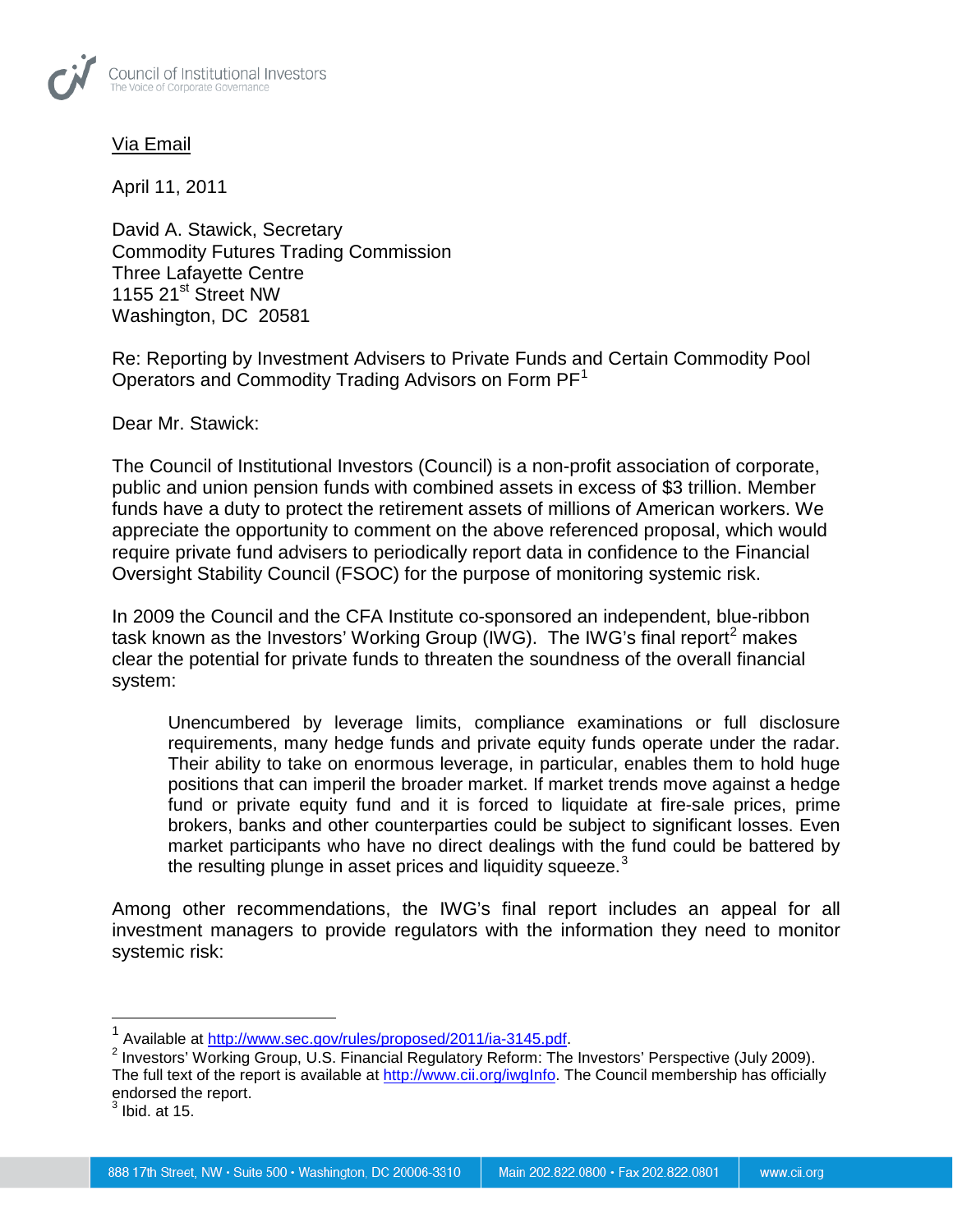

## Via Email

April 11, 2011

David A. Stawick, Secretary Commodity Futures Trading Commission Three Lafayette Centre 1155 21<sup>st</sup> Street NW Washington, DC 20581

Re: Reporting by Investment Advisers to Private Funds and Certain Commodity Pool Operators and Commodity Trading Advisors on Form  $PF<sup>1</sup>$  $PF<sup>1</sup>$  $PF<sup>1</sup>$ 

Dear Mr. Stawick:

The Council of Institutional Investors (Council) is a non-profit association of corporate, public and union pension funds with combined assets in excess of \$3 trillion. Member funds have a duty to protect the retirement assets of millions of American workers. We appreciate the opportunity to comment on the above referenced proposal, which would require private fund advisers to periodically report data in confidence to the Financial Oversight Stability Council (FSOC) for the purpose of monitoring systemic risk.

In 2009 the Council and the CFA Institute co-sponsored an independent, blue-ribbon task known as the Investors' Working Group (IWG). The IWG's final report<sup>[2](#page-0-1)</sup> makes clear the potential for private funds to threaten the soundness of the overall financial system:

Unencumbered by leverage limits, compliance examinations or full disclosure requirements, many hedge funds and private equity funds operate under the radar. Their ability to take on enormous leverage, in particular, enables them to hold huge positions that can imperil the broader market. If market trends move against a hedge fund or private equity fund and it is forced to liquidate at fire-sale prices, prime brokers, banks and other counterparties could be subject to significant losses. Even market participants who have no direct dealings with the fund could be battered by the resulting plunge in asset prices and liquidity squeeze.<sup>[3](#page-0-2)</sup>

Among other recommendations, the IWG's final report includes an appeal for all investment managers to provide regulators with the information they need to monitor systemic risk:

<span id="page-0-3"></span><span id="page-0-1"></span><span id="page-0-0"></span><sup>&</sup>lt;sup>1</sup> Available at <u>http://www.sec.gov/rules/proposed/2011/ia-3145.pdf</u>.<br><sup>2</sup> Investors' Working Group, U.S. Financial Regulatory Reform: The Investors' Perspective (July 2009). The full text of the report is available at [http://www.cii.org/iwgInfo.](http://www.cii.org/iwgInfo) The Council membership has officially endorsed the report.

<span id="page-0-2"></span> $^3$  Ibid. at 15.